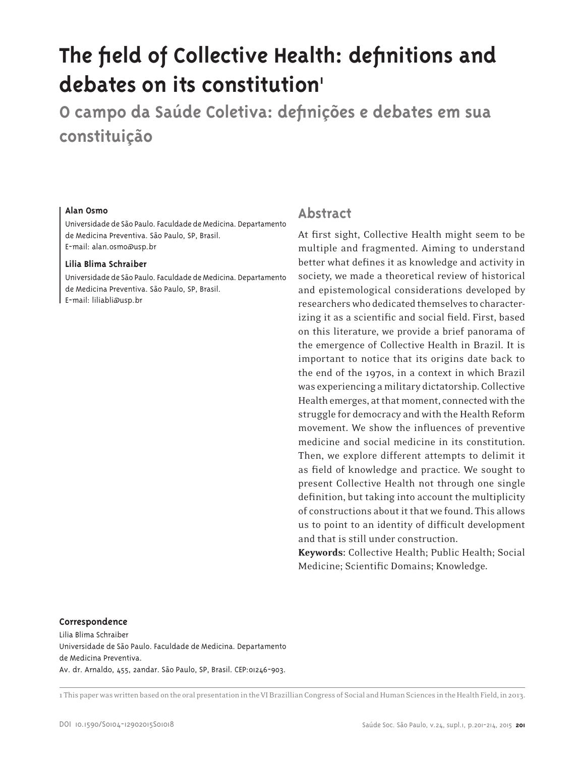# **The field of Collective Health: definitions and**  debates on its constitution<sup>1</sup>

**O campo da Saúde Coletiva: definições e debates em sua constituição**

### **Alan Osmo**

Universidade de São Paulo. Faculdade de Medicina. Departamento de Medicina Preventiva. São Paulo, SP, Brasil. E-mail: alan.osmo@usp.br

#### **Lilia Blima Schraiber**

Universidade de São Paulo. Faculdade de Medicina. Departamento de Medicina Preventiva. São Paulo, SP, Brasil. E-mail: liliabli@usp.br

### **Abstract**

At first sight, Collective Health might seem to be multiple and fragmented. Aiming to understand better what defines it as knowledge and activity in society, we made a theoretical review of historical and epistemological considerations developed by researchers who dedicated themselves to characterizing it as a scientific and social field. First, based on this literature, we provide a brief panorama of the emergence of Collective Health in Brazil. It is important to notice that its origins date back to the end of the 1970s, in a context in which Brazil was experiencing a military dictatorship. Collective Health emerges, at that moment, connected with the struggle for democracy and with the Health Reform movement. We show the influences of preventive medicine and social medicine in its constitution. Then, we explore different attempts to delimit it as field of knowledge and practice. We sought to present Collective Health not through one single definition, but taking into account the multiplicity of constructions about it that we found. This allows us to point to an identity of difficult development and that is still under construction.

Keywords: Collective Health; Public Health; Social Medicine; Scientific Domains; Knowledge.

### **Correspondence**

Lilia Blima Schraiber Universidade de São Paulo. Faculdade de Medicina. Departamento de Medicina Preventiva. Av. dr. Arnaldo, 455, 2andar. São Paulo, SP, Brasil. CEP:01246-903.

1 This paper was written based on the oral presentation in the VI Brazillian Congress of Social and Human Sciences in the Health Field, in 2013.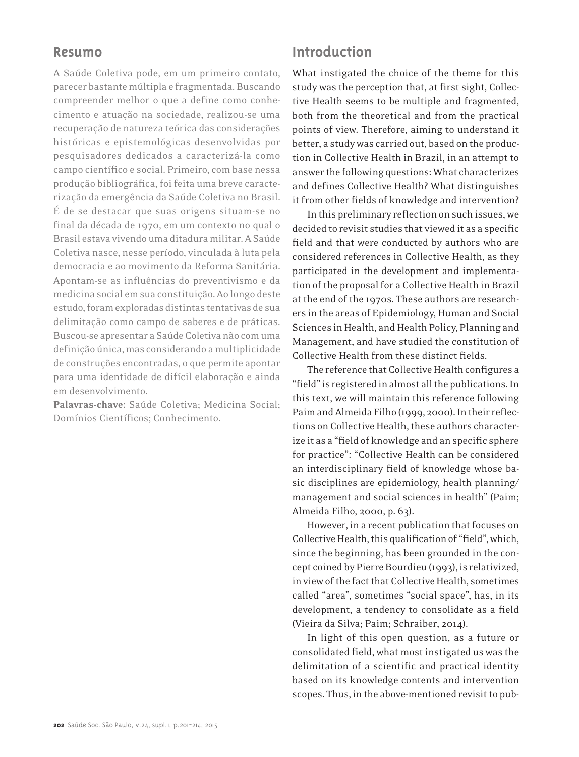### **Resumo**

A Saúde Coletiva pode, em um primeiro contato, parecer bastante múltipla e fragmentada. Buscando compreender melhor o que a define como conhecimento e atuação na sociedade, realizou-se uma recuperação de natureza teórica das considerações históricas e epistemológicas desenvolvidas por pesquisadores dedicados a caracterizá-la como campo científico e social. Primeiro, com base nessa produção bibliográfica, foi feita uma breve caracterização da emergência da Saúde Coletiva no Brasil. É de se destacar que suas origens situam-se no final da década de 1970, em um contexto no qual o Brasil estava vivendo uma ditadura militar. A Saúde Coletiva nasce, nesse período, vinculada à luta pela democracia e ao movimento da Reforma Sanitária. Apontam-se as influências do preventivismo e da medicina social em sua constituição. Ao longo deste estudo, foram exploradas distintas tentativas de sua delimitação como campo de saberes e de práticas. Buscou-se apresentar a Saúde Coletiva não com uma definição única, mas considerando a multiplicidade de construções encontradas, o que permite apontar para uma identidade de difícil elaboração e ainda em desenvolvimento.

Palavras-chave: Saúde Coletiva; Medicina Social; Domínios Científicos; Conhecimento.

# **Introduction**

What instigated the choice of the theme for this study was the perception that, at first sight, Collective Health seems to be multiple and fragmented, both from the theoretical and from the practical points of view. Therefore, aiming to understand it better, a study was carried out, based on the production in Collective Health in Brazil, in an attempt to answer the following questions: What characterizes and defines Collective Health? What distinguishes it from other fields of knowledge and intervention?

In this preliminary reflection on such issues, we decided to revisit studies that viewed it as a specific field and that were conducted by authors who are considered references in Collective Health, as they participated in the development and implementation of the proposal for a Collective Health in Brazil at the end of the 1970s. These authors are researchers in the areas of Epidemiology, Human and Social Sciences in Health, and Health Policy, Planning and Management, and have studied the constitution of Collective Health from these distinct fields.

The reference that Collective Health configures a "field" is registered in almost all the publications. In this text, we will maintain this reference following Paim and Almeida Filho (1999, 2000). In their reflections on Collective Health, these authors characterize it as a "field of knowledge and an specific sphere for practice": "Collective Health can be considered an interdisciplinary field of knowledge whose basic disciplines are epidemiology, health planning/ management and social sciences in health" (Paim; Almeida Filho, 2000, p. 63).

However, in a recent publication that focuses on Collective Health, this qualification of "field", which, since the beginning, has been grounded in the concept coined by Pierre Bourdieu (1993), is relativized, in view of the fact that Collective Health, sometimes called "area", sometimes "social space", has, in its development, a tendency to consolidate as a field (Vieira da Silva; Paim; Schraiber, 2014).

In light of this open question, as a future or consolidated field, what most instigated us was the delimitation of a scientific and practical identity based on its knowledge contents and intervention scopes. Thus, in the above-mentioned revisit to pub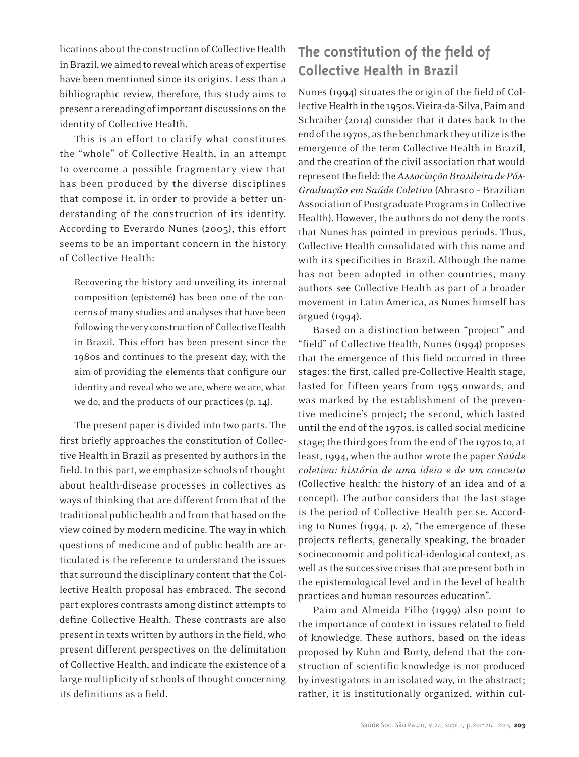lications about the construction of Collective Health in Brazil, we aimed to reveal which areas of expertise have been mentioned since its origins. Less than a bibliographic review, therefore, this study aims to present a rereading of important discussions on the identity of Collective Health.

This is an effort to clarify what constitutes the "whole" of Collective Health, in an attempt to overcome a possible fragmentary view that has been produced by the diverse disciplines that compose it, in order to provide a better understanding of the construction of its identity. According to Everardo Nunes (2005), this effort seems to be an important concern in the history of Collective Health:

Recovering the history and unveiling its internal composition (epistemé) has been one of the concerns of many studies and analyses that have been following the very construction of Collective Health in Brazil. This effort has been present since the 1980s and continues to the present day, with the aim of providing the elements that configure our identity and reveal who we are, where we are, what we do, and the products of our practices (p. 14).

The present paper is divided into two parts. The first briefly approaches the constitution of Collective Health in Brazil as presented by authors in the field. In this part, we emphasize schools of thought about health-disease processes in collectives as ways of thinking that are different from that of the traditional public health and from that based on the view coined by modern medicine. The way in which questions of medicine and of public health are articulated is the reference to understand the issues that surround the disciplinary content that the Collective Health proposal has embraced. The second part explores contrasts among distinct attempts to define Collective Health. These contrasts are also present in texts written by authors in the field, who present different perspectives on the delimitation of Collective Health, and indicate the existence of a large multiplicity of schools of thought concerning its definitions as a field.

# **The constitution of the field of Collective Health in Brazil**

Nunes (1994) situates the origin of the field of Collective Health in the 1950s. Vieira-da-Silva, Paim and Schraiber (2014) consider that it dates back to the end of the 1970s, as the benchmark they utilize is the emergence of the term Collective Health in Brazil, and the creation of the civil association that would represent the field: the *Associação Brasileira de Pós-Graduação em Saúde Coletiva* (Abrasco – Brazilian Association of Postgraduate Programs in Collective Health). However, the authors do not deny the roots that Nunes has pointed in previous periods. Thus, Collective Health consolidated with this name and with its specificities in Brazil. Although the name has not been adopted in other countries, many authors see Collective Health as part of a broader movement in Latin America, as Nunes himself has argued (1994).

Based on a distinction between "project" and "field" of Collective Health, Nunes (1994) proposes that the emergence of this field occurred in three stages: the first, called pre-Collective Health stage, lasted for fifteen years from 1955 onwards, and was marked by the establishment of the preventive medicine's project; the second, which lasted until the end of the 1970s, is called social medicine stage; the third goes from the end of the 1970s to, at least, 1994, when the author wrote the paper *Saúde coletiva: história de uma ideia e de um conceito* (Collective health: the history of an idea and of a concept). The author considers that the last stage is the period of Collective Health per se. According to Nunes (1994, p. 2), "the emergence of these projects reflects, generally speaking, the broader socioeconomic and political-ideological context, as well as the successive crises that are present both in the epistemological level and in the level of health practices and human resources education".

Paim and Almeida Filho (1999) also point to the importance of context in issues related to field of knowledge. These authors, based on the ideas proposed by Kuhn and Rorty, defend that the construction of scientific knowledge is not produced by investigators in an isolated way, in the abstract; rather, it is institutionally organized, within cul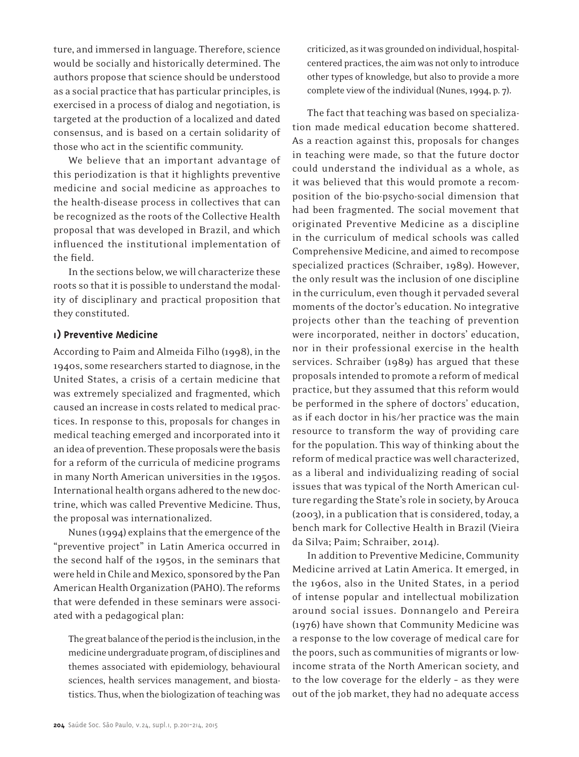ture, and immersed in language. Therefore, science would be socially and historically determined. The authors propose that science should be understood as a social practice that has particular principles, is exercised in a process of dialog and negotiation, is targeted at the production of a localized and dated consensus, and is based on a certain solidarity of those who act in the scientific community.

We believe that an important advantage of this periodization is that it highlights preventive medicine and social medicine as approaches to the health-disease process in collectives that can be recognized as the roots of the Collective Health proposal that was developed in Brazil, and which influenced the institutional implementation of the field.

In the sections below, we will characterize these roots so that it is possible to understand the modality of disciplinary and practical proposition that they constituted.

### **1) Preventive Medicine**

According to Paim and Almeida Filho (1998), in the 1940s, some researchers started to diagnose, in the United States, a crisis of a certain medicine that was extremely specialized and fragmented, which caused an increase in costs related to medical practices. In response to this, proposals for changes in medical teaching emerged and incorporated into it an idea of prevention. These proposals were the basis for a reform of the curricula of medicine programs in many North American universities in the 1950s. International health organs adhered to the new doctrine, which was called Preventive Medicine. Thus, the proposal was internationalized.

Nunes (1994) explains that the emergence of the "preventive project" in Latin America occurred in the second half of the 1950s, in the seminars that were held in Chile and Mexico, sponsored by the Pan American Health Organization (PAHO). The reforms that were defended in these seminars were associated with a pedagogical plan:

The great balance of the period is the inclusion, in the medicine undergraduate program, of disciplines and themes associated with epidemiology, behavioural sciences, health services management, and biostatistics. Thus, when the biologization of teaching was criticized, as it was grounded on individual, hospitalcentered practices, the aim was not only to introduce other types of knowledge, but also to provide a more complete view of the individual (Nunes, 1994, p. 7).

The fact that teaching was based on specialization made medical education become shattered. As a reaction against this, proposals for changes in teaching were made, so that the future doctor could understand the individual as a whole, as it was believed that this would promote a recomposition of the bio-psycho-social dimension that had been fragmented. The social movement that originated Preventive Medicine as a discipline in the curriculum of medical schools was called Comprehensive Medicine, and aimed to recompose specialized practices (Schraiber, 1989). However, the only result was the inclusion of one discipline in the curriculum, even though it pervaded several moments of the doctor's education. No integrative projects other than the teaching of prevention were incorporated, neither in doctors' education, nor in their professional exercise in the health services. Schraiber (1989) has argued that these proposals intended to promote a reform of medical practice, but they assumed that this reform would be performed in the sphere of doctors' education, as if each doctor in his/her practice was the main resource to transform the way of providing care for the population. This way of thinking about the reform of medical practice was well characterized, as a liberal and individualizing reading of social issues that was typical of the North American culture regarding the State's role in society, by Arouca (2003), in a publication that is considered, today, a bench mark for Collective Health in Brazil (Vieira da Silva; Paim; Schraiber, 2014).

In addition to Preventive Medicine, Community Medicine arrived at Latin America. It emerged, in the 1960s, also in the United States, in a period of intense popular and intellectual mobilization around social issues. Donnangelo and Pereira (1976) have shown that Community Medicine was a response to the low coverage of medical care for the poors, such as communities of migrants or lowincome strata of the North American society, and to the low coverage for the elderly – as they were out of the job market, they had no adequate access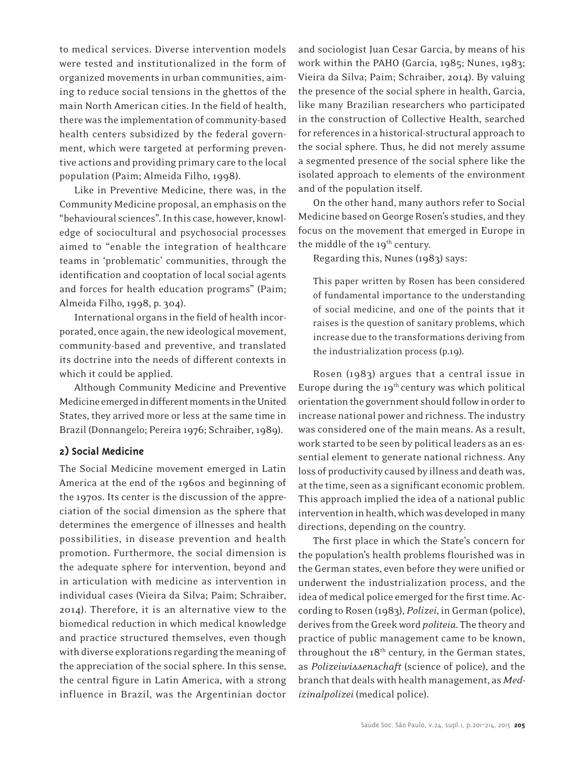to medical services. Diverse intervention models were tested and institutionalized in the form of organized movements in urban communities, aiming to reduce social tensions in the ghettos of the main North American cities. In the field of health, there was the implementation of community-based health centers subsidized by the federal government, which were targeted at performing preventive actions and providing primary care to the local population (Paim; Almeida Filho, 1998).

Like in Preventive Medicine, there was, in the Community Medicine proposal, an emphasis on the "behavioural sciences". In this case, however, knowledge of sociocultural and psychosocial processes aimed to "enable the integration of healthcare teams in 'problematic' communities, through the identification and cooptation of local social agents and forces for health education programs" (Paim; Almeida Filho, 1998, p. 304).

International organs in the field of health incorporated, once again, the new ideological movement, community-based and preventive, and translated its doctrine into the needs of different contexts in which it could be applied.

Although Community Medicine and Preventive Medicine emerged in different moments in the United States, they arrived more or less at the same time in Brazil (Donnangelo; Pereira 1976; Schraiber, 1989).

### **2) Social Medicine**

The Social Medicine movement emerged in Latin America at the end of the 1960s and beginning of the 1970s. Its center is the discussion of the appreciation of the social dimension as the sphere that determines the emergence of illnesses and health possibilities, in disease prevention and health promotion. Furthermore, the social dimension is the adequate sphere for intervention, beyond and in articulation with medicine as intervention in individual cases (Vieira da Silva; Paim; Schraiber, 2014). Therefore, it is an alternative view to the biomedical reduction in which medical knowledge and practice structured themselves, even though with diverse explorations regarding the meaning of the appreciation of the social sphere. In this sense, the central figure in Latin America, with a strong influence in Brazil, was the Argentinian doctor

and sociologist Juan Cesar Garcia, by means of his work within the PAHO (Garcia, 1985; Nunes, 1983; Vieira da Silva; Paim; Schraiber, 2014). By valuing the presence of the social sphere in health, Garcia, like many Brazilian researchers who participated in the construction of Collective Health, searched for references in a historical-structural approach to the social sphere. Thus, he did not merely assume a segmented presence of the social sphere like the isolated approach to elements of the environment and of the population itself.

On the other hand, many authors refer to Social Medicine based on George Rosen's studies, and they focus on the movement that emerged in Europe in the middle of the 19<sup>th</sup> century.

Regarding this, Nunes (1983) says:

This paper written by Rosen has been considered of fundamental importance to the understanding of social medicine, and one of the points that it raises is the question of sanitary problems, which increase due to the transformations deriving from the industrialization process (p.19).

Rosen (1983) argues that a central issue in Europe during the  $19^{th}$  century was which political orientation the government should follow in order to increase national power and richness. The industry was considered one of the main means. As a result, work started to be seen by political leaders as an essential element to generate national richness. Any loss of productivity caused by illness and death was, at the time, seen as a significant economic problem. This approach implied the idea of a national public intervention in health, which was developed in many directions, depending on the country.

The first place in which the State's concern for the population's health problems flourished was in the German states, even before they were unified or underwent the industrialization process, and the idea of medical police emerged for the first time. According to Rosen (1983), *Polizei*, in German (police), derives from the Greek word *politeia*. The theory and practice of public management came to be known, throughout the  $18<sup>th</sup>$  century, in the German states, as *Polizeiwissenschaft* (science of police), and the branch that deals with health management, as *Medizinalpolizei* (medical police).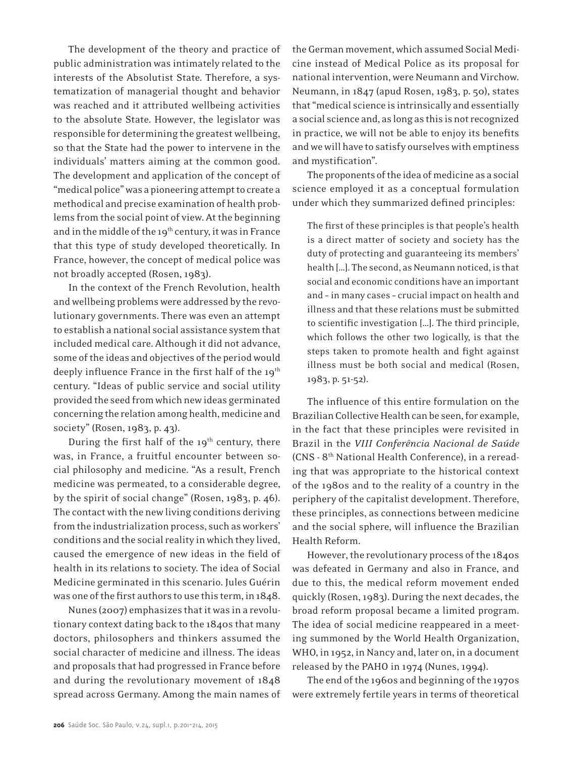The development of the theory and practice of public administration was intimately related to the interests of the Absolutist State. Therefore, a systematization of managerial thought and behavior was reached and it attributed wellbeing activities to the absolute State. However, the legislator was responsible for determining the greatest wellbeing, so that the State had the power to intervene in the individuals' matters aiming at the common good. The development and application of the concept of "medical police" was a pioneering attempt to create a methodical and precise examination of health problems from the social point of view. At the beginning and in the middle of the  $19<sup>th</sup>$  century, it was in France that this type of study developed theoretically. In France, however, the concept of medical police was not broadly accepted (Rosen, 1983).

In the context of the French Revolution, health and wellbeing problems were addressed by the revolutionary governments. There was even an attempt to establish a national social assistance system that included medical care. Although it did not advance, some of the ideas and objectives of the period would deeply influence France in the first half of the 19<sup>th</sup> century. "Ideas of public service and social utility provided the seed from which new ideas germinated concerning the relation among health, medicine and society" (Rosen, 1983, p. 43).

During the first half of the  $19^{th}$  century, there was, in France, a fruitful encounter between social philosophy and medicine. "As a result, French medicine was permeated, to a considerable degree, by the spirit of social change" (Rosen, 1983, p. 46). The contact with the new living conditions deriving from the industrialization process, such as workers' conditions and the social reality in which they lived, caused the emergence of new ideas in the field of health in its relations to society. The idea of Social Medicine germinated in this scenario. Jules Guérin was one of the first authors to use this term, in 1848.

Nunes (2007) emphasizes that it was in a revolutionary context dating back to the 1840s that many doctors, philosophers and thinkers assumed the social character of medicine and illness. The ideas and proposals that had progressed in France before and during the revolutionary movement of 1848 spread across Germany. Among the main names of the German movement, which assumed Social Medicine instead of Medical Police as its proposal for national intervention, were Neumann and Virchow. Neumann, in 1847 (apud Rosen, 1983, p. 50), states that "medical science is intrinsically and essentially a social science and, as long as this is not recognized in practice, we will not be able to enjoy its benefits and we will have to satisfy ourselves with emptiness and mystification".

The proponents of the idea of medicine as a social science employed it as a conceptual formulation under which they summarized defined principles:

The first of these principles is that people's health is a direct matter of society and society has the duty of protecting and guaranteeing its members' health […]. The second, as Neumann noticed, is that social and economic conditions have an important and – in many cases – crucial impact on health and illness and that these relations must be submitted to scientific investigation […]. The third principle, which follows the other two logically, is that the steps taken to promote health and fight against illness must be both social and medical (Rosen, 1983, p. 51-52).

The influence of this entire formulation on the Brazilian Collective Health can be seen, for example, in the fact that these principles were revisited in Brazil in the *VIII Conferência Nacional de Saúde* (CNS - 8th National Health Conference), in a rereading that was appropriate to the historical context of the 1980s and to the reality of a country in the periphery of the capitalist development. Therefore, these principles, as connections between medicine and the social sphere, will influence the Brazilian Health Reform.

However, the revolutionary process of the 1840s was defeated in Germany and also in France, and due to this, the medical reform movement ended quickly (Rosen, 1983). During the next decades, the broad reform proposal became a limited program. The idea of social medicine reappeared in a meeting summoned by the World Health Organization, WHO, in 1952, in Nancy and, later on, in a document released by the PAHO in 1974 (Nunes, 1994).

The end of the 1960s and beginning of the 1970s were extremely fertile years in terms of theoretical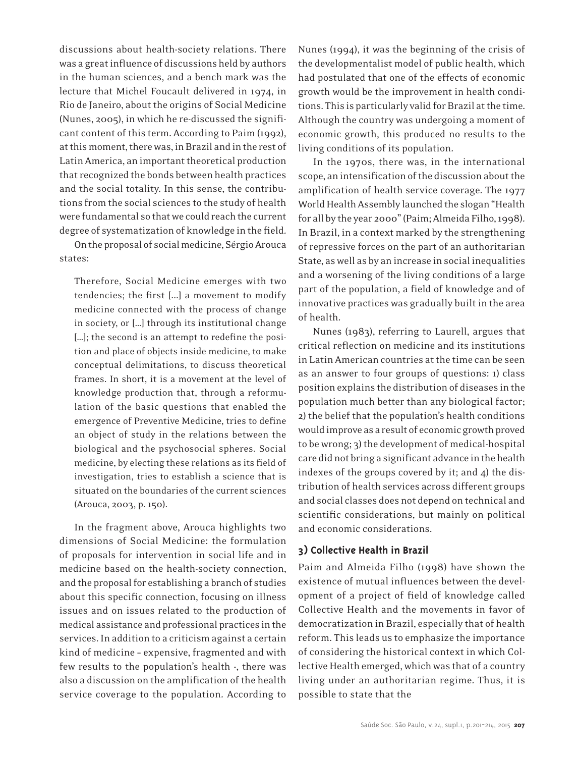discussions about health-society relations. There was a great influence of discussions held by authors in the human sciences, and a bench mark was the lecture that Michel Foucault delivered in 1974, in Rio de Janeiro, about the origins of Social Medicine (Nunes, 2005), in which he re-discussed the significant content of this term. According to Paim (1992), at this moment, there was, in Brazil and in the rest of Latin America, an important theoretical production that recognized the bonds between health practices and the social totality. In this sense, the contributions from the social sciences to the study of health were fundamental so that we could reach the current degree of systematization of knowledge in the field.

On the proposal of social medicine, Sérgio Arouca states:

Therefore, Social Medicine emerges with two tendencies; the first [...] a movement to modify medicine connected with the process of change in society, or […] through its institutional change [...]; the second is an attempt to redefine the position and place of objects inside medicine, to make conceptual delimitations, to discuss theoretical frames. In short, it is a movement at the level of knowledge production that, through a reformulation of the basic questions that enabled the emergence of Preventive Medicine, tries to define an object of study in the relations between the biological and the psychosocial spheres. Social medicine, by electing these relations as its field of investigation, tries to establish a science that is situated on the boundaries of the current sciences (Arouca, 2003, p. 150).

In the fragment above, Arouca highlights two dimensions of Social Medicine: the formulation of proposals for intervention in social life and in medicine based on the health-society connection, and the proposal for establishing a branch of studies about this specific connection, focusing on illness issues and on issues related to the production of medical assistance and professional practices in the services. In addition to a criticism against a certain kind of medicine – expensive, fragmented and with few results to the population's health -, there was also a discussion on the amplification of the health service coverage to the population. According to

Nunes (1994), it was the beginning of the crisis of the developmentalist model of public health, which had postulated that one of the effects of economic growth would be the improvement in health conditions. This is particularly valid for Brazil at the time. Although the country was undergoing a moment of economic growth, this produced no results to the living conditions of its population.

In the 1970s, there was, in the international scope, an intensification of the discussion about the amplification of health service coverage. The 1977 World Health Assembly launched the slogan "Health for all by the year 2000" (Paim; Almeida Filho, 1998). In Brazil, in a context marked by the strengthening of repressive forces on the part of an authoritarian State, as well as by an increase in social inequalities and a worsening of the living conditions of a large part of the population, a field of knowledge and of innovative practices was gradually built in the area of health.

Nunes (1983), referring to Laurell, argues that critical reflection on medicine and its institutions in Latin American countries at the time can be seen as an answer to four groups of questions: 1) class position explains the distribution of diseases in the population much better than any biological factor; 2) the belief that the population's health conditions would improve as a result of economic growth proved to be wrong; 3) the development of medical-hospital care did not bring a significant advance in the health indexes of the groups covered by it; and 4) the distribution of health services across different groups and social classes does not depend on technical and scientific considerations, but mainly on political and economic considerations.

### **3) Collective Health in Brazil**

Paim and Almeida Filho (1998) have shown the existence of mutual influences between the development of a project of field of knowledge called Collective Health and the movements in favor of democratization in Brazil, especially that of health reform. This leads us to emphasize the importance of considering the historical context in which Collective Health emerged, which was that of a country living under an authoritarian regime. Thus, it is possible to state that the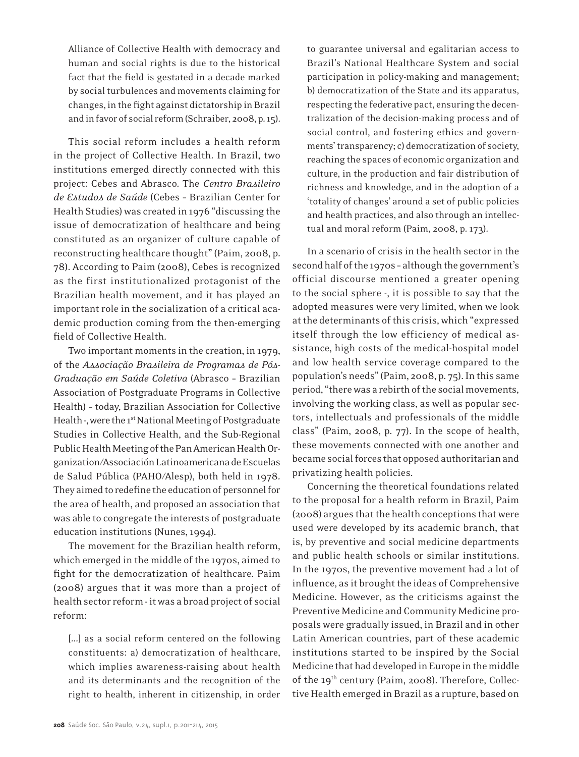Alliance of Collective Health with democracy and human and social rights is due to the historical fact that the field is gestated in a decade marked by social turbulences and movements claiming for changes, in the fight against dictatorship in Brazil and in favor of social reform (Schraiber, 2008, p. 15).

This social reform includes a health reform in the project of Collective Health. In Brazil, two institutions emerged directly connected with this project: Cebes and Abrasco. The *Centro Brasileiro de Estudos de Saúde* (Cebes – Brazilian Center for Health Studies) was created in 1976 "discussing the issue of democratization of healthcare and being constituted as an organizer of culture capable of reconstructing healthcare thought" (Paim, 2008, p. 78). According to Paim (2008), Cebes is recognized as the first institutionalized protagonist of the Brazilian health movement, and it has played an important role in the socialization of a critical academic production coming from the then-emerging field of Collective Health.

Two important moments in the creation, in 1979, of the *Associação Brasileira de Programas de Pós-Graduação em Saúde Coletiva* (Abrasco – Brazilian Association of Postgraduate Programs in Collective Health) – today, Brazilian Association for Collective Health -, were the 1<sup>st</sup> National Meeting of Postgraduate Studies in Collective Health, and the Sub-Regional Public Health Meeting of the Pan American Health Organization/Associación Latinoamericana de Escuelas de Salud Pública (PAHO/Alesp), both held in 1978. They aimed to redefine the education of personnel for the area of health, and proposed an association that was able to congregate the interests of postgraduate education institutions (Nunes, 1994).

The movement for the Brazilian health reform, which emerged in the middle of the 1970s, aimed to fight for the democratization of healthcare. Paim (2008) argues that it was more than a project of health sector reform - it was a broad project of social reform:

[...] as a social reform centered on the following constituents: a) democratization of healthcare, which implies awareness-raising about health and its determinants and the recognition of the right to health, inherent in citizenship, in order to guarantee universal and egalitarian access to Brazil's National Healthcare System and social participation in policy-making and management; b) democratization of the State and its apparatus, respecting the federative pact, ensuring the decentralization of the decision-making process and of social control, and fostering ethics and governments' transparency; c) democratization of society, reaching the spaces of economic organization and culture, in the production and fair distribution of richness and knowledge, and in the adoption of a 'totality of changes' around a set of public policies and health practices, and also through an intellectual and moral reform (Paim, 2008, p. 173).

In a scenario of crisis in the health sector in the second half of the 1970s – although the government's official discourse mentioned a greater opening to the social sphere -, it is possible to say that the adopted measures were very limited, when we look at the determinants of this crisis, which "expressed itself through the low efficiency of medical assistance, high costs of the medical-hospital model and low health service coverage compared to the population's needs" (Paim, 2008, p. 75). In this same period, "there was a rebirth of the social movements, involving the working class, as well as popular sectors, intellectuals and professionals of the middle class" (Paim, 2008, p. 77). In the scope of health, these movements connected with one another and became social forces that opposed authoritarian and privatizing health policies.

Concerning the theoretical foundations related to the proposal for a health reform in Brazil, Paim (2008) argues that the health conceptions that were used were developed by its academic branch, that is, by preventive and social medicine departments and public health schools or similar institutions. In the 1970s, the preventive movement had a lot of influence, as it brought the ideas of Comprehensive Medicine. However, as the criticisms against the Preventive Medicine and Community Medicine proposals were gradually issued, in Brazil and in other Latin American countries, part of these academic institutions started to be inspired by the Social Medicine that had developed in Europe in the middle of the 19<sup>th</sup> century (Paim, 2008). Therefore, Collective Health emerged in Brazil as a rupture, based on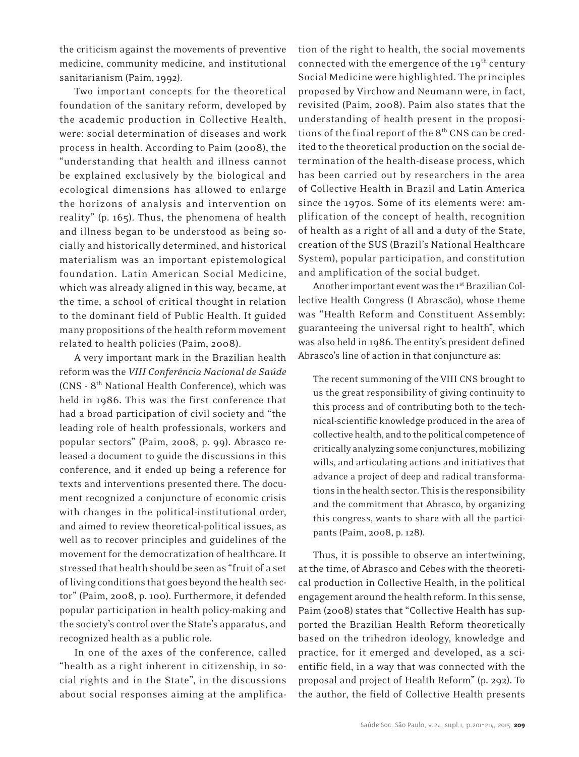the criticism against the movements of preventive medicine, community medicine, and institutional sanitarianism (Paim, 1992).

Two important concepts for the theoretical foundation of the sanitary reform, developed by the academic production in Collective Health, were: social determination of diseases and work process in health. According to Paim (2008), the "understanding that health and illness cannot be explained exclusively by the biological and ecological dimensions has allowed to enlarge the horizons of analysis and intervention on reality" (p. 165). Thus, the phenomena of health and illness began to be understood as being socially and historically determined, and historical materialism was an important epistemological foundation. Latin American Social Medicine, which was already aligned in this way, became, at the time, a school of critical thought in relation to the dominant field of Public Health. It guided many propositions of the health reform movement related to health policies (Paim, 2008).

A very important mark in the Brazilian health reform was the *VIII Conferência Nacional de Saúde* (CNS - 8th National Health Conference), which was held in 1986. This was the first conference that had a broad participation of civil society and "the leading role of health professionals, workers and popular sectors" (Paim, 2008, p. 99). Abrasco released a document to guide the discussions in this conference, and it ended up being a reference for texts and interventions presented there. The document recognized a conjuncture of economic crisis with changes in the political-institutional order, and aimed to review theoretical-political issues, as well as to recover principles and guidelines of the movement for the democratization of healthcare. It stressed that health should be seen as "fruit of a set of living conditions that goes beyond the health sector" (Paim, 2008, p. 100). Furthermore, it defended popular participation in health policy-making and the society's control over the State's apparatus, and recognized health as a public role.

In one of the axes of the conference, called "health as a right inherent in citizenship, in social rights and in the State", in the discussions about social responses aiming at the amplification of the right to health, the social movements connected with the emergence of the  $19^{th}$  century Social Medicine were highlighted. The principles proposed by Virchow and Neumann were, in fact, revisited (Paim, 2008). Paim also states that the understanding of health present in the propositions of the final report of the  $8<sup>th</sup>$  CNS can be credited to the theoretical production on the social determination of the health-disease process, which has been carried out by researchers in the area of Collective Health in Brazil and Latin America since the 1970s. Some of its elements were: amplification of the concept of health, recognition of health as a right of all and a duty of the State, creation of the SUS (Brazil's National Healthcare System), popular participation, and constitution and amplification of the social budget.

Another important event was the 1st Brazilian Collective Health Congress (I Abrascão), whose theme was "Health Reform and Constituent Assembly: guaranteeing the universal right to health", which was also held in 1986. The entity's president defined Abrasco's line of action in that conjuncture as:

The recent summoning of the VIII CNS brought to us the great responsibility of giving continuity to this process and of contributing both to the technical-scientific knowledge produced in the area of collective health, and to the political competence of critically analyzing some conjunctures, mobilizing wills, and articulating actions and initiatives that advance a project of deep and radical transformations in the health sector. This is the responsibility and the commitment that Abrasco, by organizing this congress, wants to share with all the participants (Paim, 2008, p. 128).

Thus, it is possible to observe an intertwining, at the time, of Abrasco and Cebes with the theoretical production in Collective Health, in the political engagement around the health reform. In this sense, Paim (2008) states that "Collective Health has supported the Brazilian Health Reform theoretically based on the trihedron ideology, knowledge and practice, for it emerged and developed, as a scientific field, in a way that was connected with the proposal and project of Health Reform" (p. 292). To the author, the field of Collective Health presents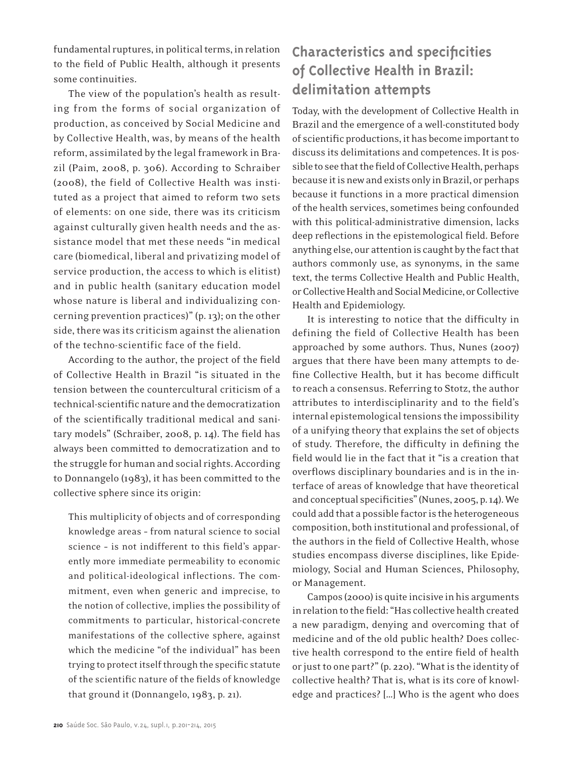fundamental ruptures, in political terms, in relation to the field of Public Health, although it presents some continuities.

The view of the population's health as resulting from the forms of social organization of production, as conceived by Social Medicine and by Collective Health, was, by means of the health reform, assimilated by the legal framework in Brazil (Paim, 2008, p. 306). According to Schraiber (2008), the field of Collective Health was instituted as a project that aimed to reform two sets of elements: on one side, there was its criticism against culturally given health needs and the assistance model that met these needs "in medical care (biomedical, liberal and privatizing model of service production, the access to which is elitist) and in public health (sanitary education model whose nature is liberal and individualizing concerning prevention practices)" (p. 13); on the other side, there was its criticism against the alienation of the techno-scientific face of the field.

According to the author, the project of the field of Collective Health in Brazil "is situated in the tension between the countercultural criticism of a technical-scientific nature and the democratization of the scientifically traditional medical and sanitary models" (Schraiber, 2008, p. 14). The field has always been committed to democratization and to the struggle for human and social rights. According to Donnangelo (1983), it has been committed to the collective sphere since its origin:

This multiplicity of objects and of corresponding knowledge areas – from natural science to social science – is not indifferent to this field's apparently more immediate permeability to economic and political-ideological inflections. The commitment, even when generic and imprecise, to the notion of collective, implies the possibility of commitments to particular, historical-concrete manifestations of the collective sphere, against which the medicine "of the individual" has been trying to protect itself through the specific statute of the scientific nature of the fields of knowledge that ground it (Donnangelo, 1983, p. 21).

# **Characteristics and specificities of Collective Health in Brazil: delimitation attempts**

Today, with the development of Collective Health in Brazil and the emergence of a well-constituted body of scientific productions, it has become important to discuss its delimitations and competences. It is possible to see that the field of Collective Health, perhaps because it is new and exists only in Brazil, or perhaps because it functions in a more practical dimension of the health services, sometimes being confounded with this political-administrative dimension, lacks deep reflections in the epistemological field. Before anything else, our attention is caught by the fact that authors commonly use, as synonyms, in the same text, the terms Collective Health and Public Health, or Collective Health and Social Medicine, or Collective Health and Epidemiology.

It is interesting to notice that the difficulty in defining the field of Collective Health has been approached by some authors. Thus, Nunes (2007) argues that there have been many attempts to define Collective Health, but it has become difficult to reach a consensus. Referring to Stotz, the author attributes to interdisciplinarity and to the field's internal epistemological tensions the impossibility of a unifying theory that explains the set of objects of study. Therefore, the difficulty in defining the field would lie in the fact that it "is a creation that overflows disciplinary boundaries and is in the interface of areas of knowledge that have theoretical and conceptual specificities" (Nunes, 2005, p. 14). We could add that a possible factor is the heterogeneous composition, both institutional and professional, of the authors in the field of Collective Health, whose studies encompass diverse disciplines, like Epidemiology, Social and Human Sciences, Philosophy, or Management.

Campos (2000) is quite incisive in his arguments in relation to the field: "Has collective health created a new paradigm, denying and overcoming that of medicine and of the old public health? Does collective health correspond to the entire field of health or just to one part?" (p. 220). "What is the identity of collective health? That is, what is its core of knowledge and practices? […] Who is the agent who does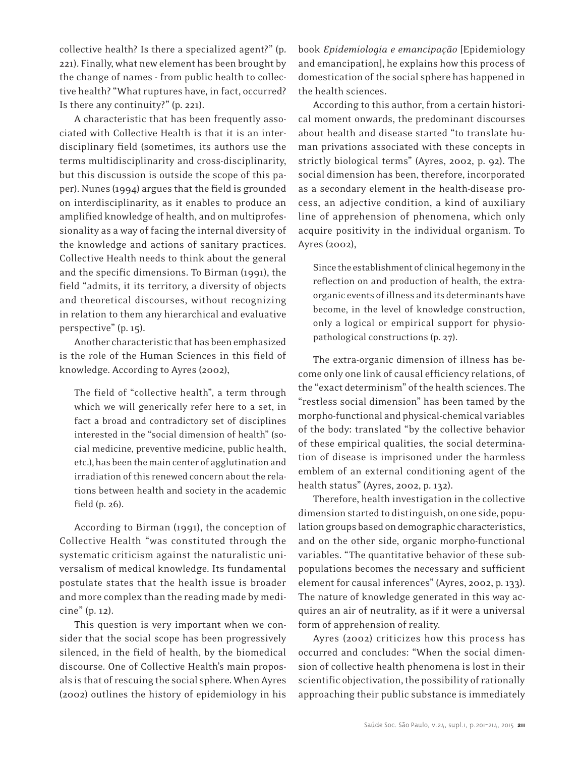collective health? Is there a specialized agent?" (p. 221). Finally, what new element has been brought by the change of names - from public health to collective health? "What ruptures have, in fact, occurred? Is there any continuity?" (p. 221).

A characteristic that has been frequently associated with Collective Health is that it is an interdisciplinary field (sometimes, its authors use the terms multidisciplinarity and cross-disciplinarity, but this discussion is outside the scope of this paper). Nunes (1994) argues that the field is grounded on interdisciplinarity, as it enables to produce an amplified knowledge of health, and on multiprofessionality as a way of facing the internal diversity of the knowledge and actions of sanitary practices. Collective Health needs to think about the general and the specific dimensions. To Birman (1991), the field "admits, it its territory, a diversity of objects and theoretical discourses, without recognizing in relation to them any hierarchical and evaluative perspective" (p. 15).

Another characteristic that has been emphasized is the role of the Human Sciences in this field of knowledge. According to Ayres (2002),

The field of "collective health", a term through which we will generically refer here to a set, in fact a broad and contradictory set of disciplines interested in the "social dimension of health" (social medicine, preventive medicine, public health, etc.), has been the main center of agglutination and irradiation of this renewed concern about the relations between health and society in the academic field (p. 26).

According to Birman (1991), the conception of Collective Health "was constituted through the systematic criticism against the naturalistic universalism of medical knowledge. Its fundamental postulate states that the health issue is broader and more complex than the reading made by medicine" (p. 12).

This question is very important when we consider that the social scope has been progressively silenced, in the field of health, by the biomedical discourse. One of Collective Health's main proposals is that of rescuing the social sphere. When Ayres (2002) outlines the history of epidemiology in his

book *Epidemiologia e emancipação* [Epidemiology and emancipation], he explains how this process of domestication of the social sphere has happened in the health sciences.

According to this author, from a certain historical moment onwards, the predominant discourses about health and disease started "to translate human privations associated with these concepts in strictly biological terms" (Ayres, 2002, p. 92). The social dimension has been, therefore, incorporated as a secondary element in the health-disease process, an adjective condition, a kind of auxiliary line of apprehension of phenomena, which only acquire positivity in the individual organism. To Ayres (2002),

Since the establishment of clinical hegemony in the reflection on and production of health, the extraorganic events of illness and its determinants have become, in the level of knowledge construction, only a logical or empirical support for physiopathological constructions (p. 27).

The extra-organic dimension of illness has become only one link of causal efficiency relations, of the "exact determinism" of the health sciences. The "restless social dimension" has been tamed by the morpho-functional and physical-chemical variables of the body: translated "by the collective behavior of these empirical qualities, the social determination of disease is imprisoned under the harmless emblem of an external conditioning agent of the health status" (Ayres, 2002, p. 132).

Therefore, health investigation in the collective dimension started to distinguish, on one side, population groups based on demographic characteristics, and on the other side, organic morpho-functional variables. "The quantitative behavior of these subpopulations becomes the necessary and sufficient element for causal inferences" (Ayres, 2002, p. 133). The nature of knowledge generated in this way acquires an air of neutrality, as if it were a universal form of apprehension of reality.

Ayres (2002) criticizes how this process has occurred and concludes: "When the social dimension of collective health phenomena is lost in their scientific objectivation, the possibility of rationally approaching their public substance is immediately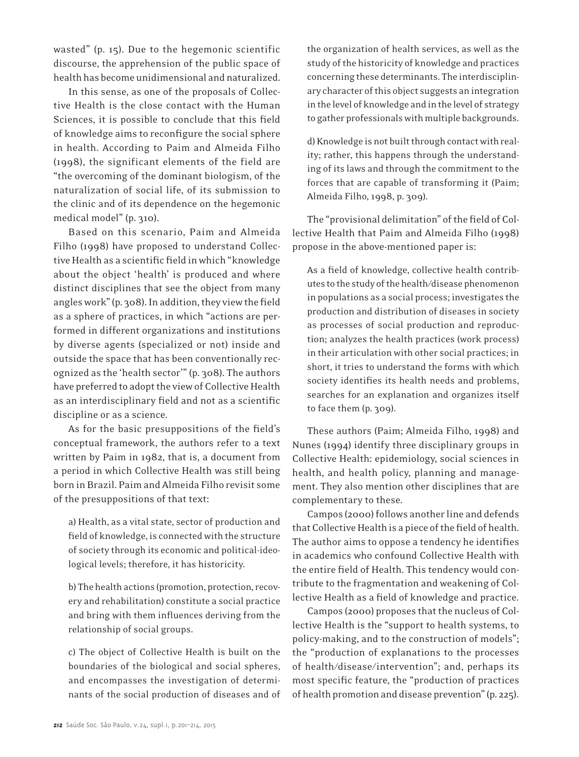wasted" (p. 15). Due to the hegemonic scientific discourse, the apprehension of the public space of health has become unidimensional and naturalized.

In this sense, as one of the proposals of Collective Health is the close contact with the Human Sciences, it is possible to conclude that this field of knowledge aims to reconfigure the social sphere in health. According to Paim and Almeida Filho (1998), the significant elements of the field are "the overcoming of the dominant biologism, of the naturalization of social life, of its submission to the clinic and of its dependence on the hegemonic medical model" (p. 310).

Based on this scenario, Paim and Almeida Filho (1998) have proposed to understand Collective Health as a scientific field in which "knowledge about the object 'health' is produced and where distinct disciplines that see the object from many angles work" (p. 308). In addition, they view the field as a sphere of practices, in which "actions are performed in different organizations and institutions by diverse agents (specialized or not) inside and outside the space that has been conventionally recognized as the 'health sector'" (p. 308). The authors have preferred to adopt the view of Collective Health as an interdisciplinary field and not as a scientific discipline or as a science.

As for the basic presuppositions of the field's conceptual framework, the authors refer to a text written by Paim in 1982, that is, a document from a period in which Collective Health was still being born in Brazil. Paim and Almeida Filho revisit some of the presuppositions of that text:

a) Health, as a vital state, sector of production and field of knowledge, is connected with the structure of society through its economic and political-ideological levels; therefore, it has historicity.

b) The health actions (promotion, protection, recovery and rehabilitation) constitute a social practice and bring with them influences deriving from the relationship of social groups.

c) The object of Collective Health is built on the boundaries of the biological and social spheres, and encompasses the investigation of determinants of the social production of diseases and of the organization of health services, as well as the study of the historicity of knowledge and practices concerning these determinants. The interdisciplinary character of this object suggests an integration in the level of knowledge and in the level of strategy to gather professionals with multiple backgrounds.

d) Knowledge is not built through contact with reality; rather, this happens through the understanding of its laws and through the commitment to the forces that are capable of transforming it (Paim; Almeida Filho, 1998, p. 309).

The "provisional delimitation" of the field of Collective Health that Paim and Almeida Filho (1998) propose in the above-mentioned paper is:

As a field of knowledge, collective health contributes to the study of the health/disease phenomenon in populations as a social process; investigates the production and distribution of diseases in society as processes of social production and reproduction; analyzes the health practices (work process) in their articulation with other social practices; in short, it tries to understand the forms with which society identifies its health needs and problems, searches for an explanation and organizes itself to face them (p. 309).

These authors (Paim; Almeida Filho, 1998) and Nunes (1994) identify three disciplinary groups in Collective Health: epidemiology, social sciences in health, and health policy, planning and management. They also mention other disciplines that are complementary to these.

Campos (2000) follows another line and defends that Collective Health is a piece of the field of health. The author aims to oppose a tendency he identifies in academics who confound Collective Health with the entire field of Health. This tendency would contribute to the fragmentation and weakening of Collective Health as a field of knowledge and practice.

Campos (2000) proposes that the nucleus of Collective Health is the "support to health systems, to policy-making, and to the construction of models"; the "production of explanations to the processes of health/disease/intervention"; and, perhaps its most specific feature, the "production of practices of health promotion and disease prevention" (p. 225).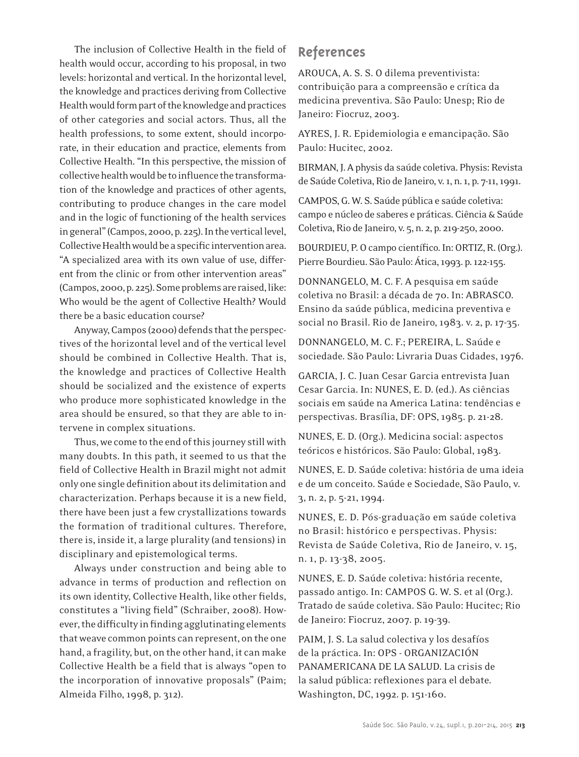The inclusion of Collective Health in the field of health would occur, according to his proposal, in two levels: horizontal and vertical. In the horizontal level, the knowledge and practices deriving from Collective Health would form part of the knowledge and practices of other categories and social actors. Thus, all the health professions, to some extent, should incorporate, in their education and practice, elements from Collective Health. "In this perspective, the mission of collective health would be to influence the transformation of the knowledge and practices of other agents, contributing to produce changes in the care model and in the logic of functioning of the health services in general" (Campos, 2000, p. 225). In the vertical level, Collective Health would be a specific intervention area. "A specialized area with its own value of use, different from the clinic or from other intervention areas" (Campos, 2000, p. 225). Some problems are raised, like: Who would be the agent of Collective Health? Would there be a basic education course?

Anyway, Campos (2000) defends that the perspectives of the horizontal level and of the vertical level should be combined in Collective Health. That is, the knowledge and practices of Collective Health should be socialized and the existence of experts who produce more sophisticated knowledge in the area should be ensured, so that they are able to intervene in complex situations.

Thus, we come to the end of this journey still with many doubts. In this path, it seemed to us that the field of Collective Health in Brazil might not admit only one single definition about its delimitation and characterization. Perhaps because it is a new field, there have been just a few crystallizations towards the formation of traditional cultures. Therefore, there is, inside it, a large plurality (and tensions) in disciplinary and epistemological terms.

Always under construction and being able to advance in terms of production and reflection on its own identity, Collective Health, like other fields, constitutes a "living field" (Schraiber, 2008). However, the difficulty in finding agglutinating elements that weave common points can represent, on the one hand, a fragility, but, on the other hand, it can make Collective Health be a field that is always "open to the incorporation of innovative proposals" (Paim; Almeida Filho, 1998, p. 312).

## **References**

AROUCA, A. S. S. O dilema preventivista: contribuição para a compreensão e crítica da medicina preventiva. São Paulo: Unesp; Rio de Janeiro: Fiocruz, 2003.

AYRES, J. R. Epidemiologia e emancipação. São Paulo: Hucitec, 2002.

BIRMAN, J. A physis da saúde coletiva. Physis: Revista de Saúde Coletiva, Rio de Janeiro, v. 1, n. 1, p. 7-11, 1991.

CAMPOS, G. W. S. Saúde pública e saúde coletiva: campo e núcleo de saberes e práticas. Ciência & Saúde Coletiva, Rio de Janeiro, v. 5, n. 2, p. 219-250, 2000.

BOURDIEU, P. O campo científico. In: ORTIZ, R. (Org.). Pierre Bourdieu. São Paulo: Ática, 1993. p. 122-155.

DONNANGELO, M. C. F. A pesquisa em saúde coletiva no Brasil: a década de 70. In: ABRASCO. Ensino da saúde pública, medicina preventiva e social no Brasil. Rio de Janeiro, 1983. v. 2, p. 17-35.

DONNANGELO, M. C. F.; PEREIRA, L. Saúde e sociedade. São Paulo: Livraria Duas Cidades, 1976.

GARCIA, J. C. Juan Cesar Garcia entrevista Juan Cesar Garcia. In: NUNES, E. D. (ed.). As ciências sociais em saúde na America Latina: tendências e perspectivas. Brasília, DF: OPS, 1985. p. 21-28.

NUNES, E. D. (Org.). Medicina social: aspectos teóricos e históricos. São Paulo: Global, 1983.

NUNES, E. D. Saúde coletiva: história de uma ideia e de um conceito. Saúde e Sociedade, São Paulo, v. 3, n. 2, p. 5-21, 1994.

NUNES, E. D. Pós-graduação em saúde coletiva no Brasil: histórico e perspectivas. Physis: Revista de Saúde Coletiva, Rio de Janeiro, v. 15, n. 1, p. 13-38, 2005.

NUNES, E. D. Saúde coletiva: história recente, passado antigo. In: CAMPOS G. W. S. et al (Org.). Tratado de saúde coletiva. São Paulo: Hucitec; Rio de Janeiro: Fiocruz, 2007. p. 19-39.

PAIM, J. S. La salud colectiva y los desafíos de la práctica. In: OPS - ORGANIZACIÓN PANAMERICANA DE LA SALUD. La crisis de la salud pública: reflexiones para el debate. Washington, DC, 1992. p. 151-160.